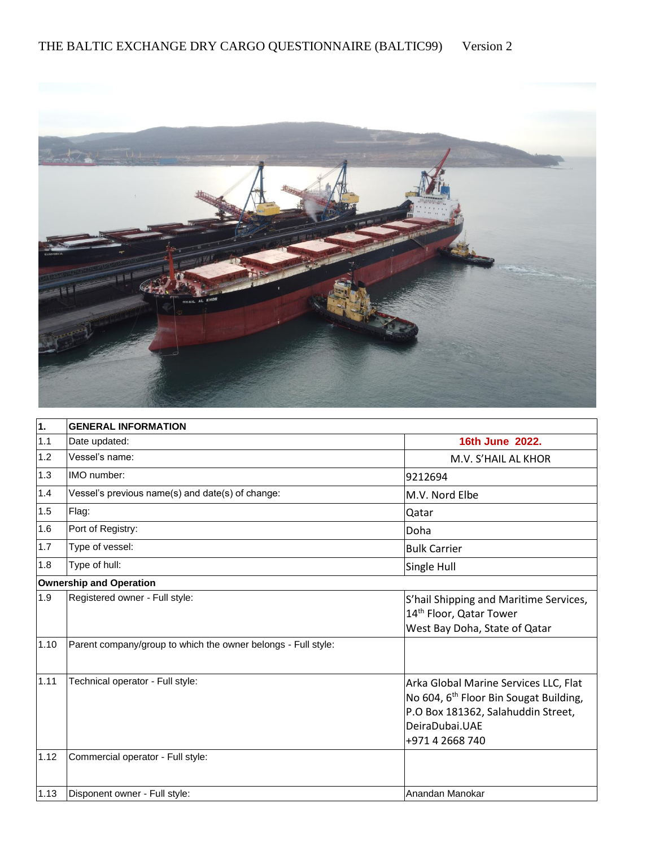

| 1.   | <b>GENERAL INFORMATION</b>                                    |                                                                                                                                                                        |  |  |
|------|---------------------------------------------------------------|------------------------------------------------------------------------------------------------------------------------------------------------------------------------|--|--|
| 1.1  | Date updated:                                                 | 16th June 2022.                                                                                                                                                        |  |  |
| 1.2  | Vessel's name:                                                | M.V. S'HAIL AL KHOR                                                                                                                                                    |  |  |
| 1.3  | IMO number:                                                   | 9212694                                                                                                                                                                |  |  |
| 1.4  | Vessel's previous name(s) and date(s) of change:              | M.V. Nord Elbe                                                                                                                                                         |  |  |
| 1.5  | Flag:                                                         | Qatar                                                                                                                                                                  |  |  |
| 1.6  | Port of Registry:                                             | Doha                                                                                                                                                                   |  |  |
| 1.7  | Type of vessel:                                               | <b>Bulk Carrier</b>                                                                                                                                                    |  |  |
| 1.8  | Type of hull:                                                 | Single Hull                                                                                                                                                            |  |  |
|      | Ownership and Operation                                       |                                                                                                                                                                        |  |  |
| 1.9  | Registered owner - Full style:                                | S'hail Shipping and Maritime Services,<br>14 <sup>th</sup> Floor, Qatar Tower<br>West Bay Doha, State of Qatar                                                         |  |  |
| 1.10 | Parent company/group to which the owner belongs - Full style: |                                                                                                                                                                        |  |  |
| 1.11 | Technical operator - Full style:                              | Arka Global Marine Services LLC, Flat<br>No 604, 6 <sup>th</sup> Floor Bin Sougat Building,<br>P.O Box 181362, Salahuddin Street,<br>DeiraDubai.UAE<br>+971 4 2668 740 |  |  |
| 1.12 | Commercial operator - Full style:                             |                                                                                                                                                                        |  |  |
| 1.13 | Disponent owner - Full style:                                 | Anandan Manokar                                                                                                                                                        |  |  |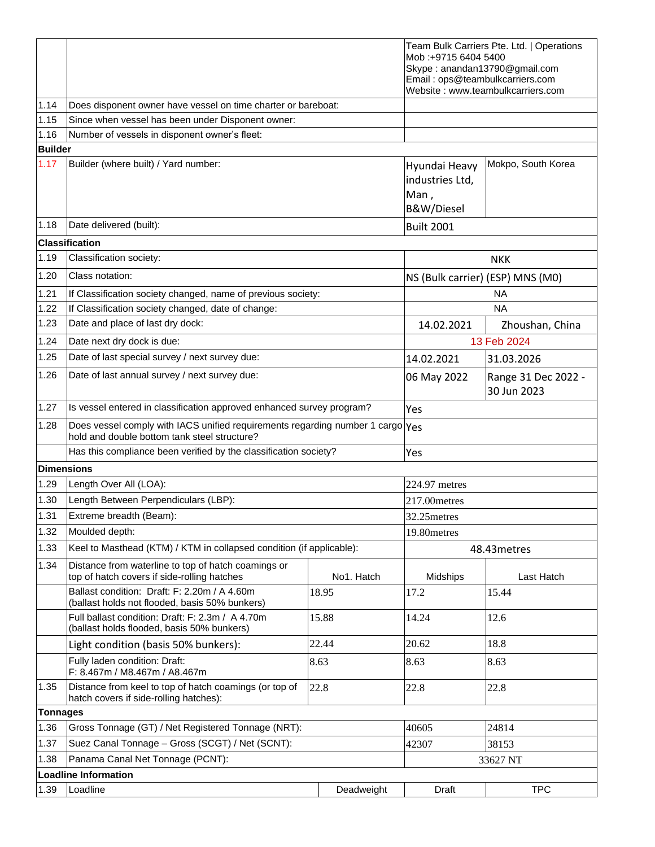|                   |                                                                                                                                |                                                        | Mob:+9715 6404 5400<br>Skype: anandan13790@gmail.com<br>Email: ops@teambulkcarriers.com | Team Bulk Carriers Pte. Ltd.   Operations<br>Website: www.teambulkcarriers.com |  |
|-------------------|--------------------------------------------------------------------------------------------------------------------------------|--------------------------------------------------------|-----------------------------------------------------------------------------------------|--------------------------------------------------------------------------------|--|
| 1.14              | Does disponent owner have vessel on time charter or bareboat:                                                                  |                                                        |                                                                                         |                                                                                |  |
| 1.15              | Since when vessel has been under Disponent owner:                                                                              |                                                        |                                                                                         |                                                                                |  |
| 1.16              | Number of vessels in disponent owner's fleet:                                                                                  |                                                        |                                                                                         |                                                                                |  |
| <b>Builder</b>    |                                                                                                                                |                                                        |                                                                                         |                                                                                |  |
| 1.17              | Builder (where built) / Yard number:                                                                                           | Hyundai Heavy<br>industries Ltd,<br>Man,<br>B&W/Diesel | Mokpo, South Korea                                                                      |                                                                                |  |
| 1.18              | Date delivered (built):                                                                                                        |                                                        | <b>Built 2001</b>                                                                       |                                                                                |  |
|                   | <b>Classification</b>                                                                                                          |                                                        |                                                                                         |                                                                                |  |
| 1.19              | Classification society:                                                                                                        |                                                        |                                                                                         | <b>NKK</b>                                                                     |  |
| 1.20              | Class notation:                                                                                                                |                                                        | NS (Bulk carrier) (ESP) MNS (M0)                                                        |                                                                                |  |
| 1.21              | If Classification society changed, name of previous society:                                                                   |                                                        |                                                                                         | <b>NA</b>                                                                      |  |
| 1.22              | If Classification society changed, date of change:                                                                             |                                                        |                                                                                         | ΝA                                                                             |  |
| 1.23              | Date and place of last dry dock:                                                                                               |                                                        | 14.02.2021                                                                              | Zhoushan, China                                                                |  |
| 1.24              | Date next dry dock is due:                                                                                                     |                                                        |                                                                                         | 13 Feb 2024                                                                    |  |
| 1.25              | Date of last special survey / next survey due:                                                                                 |                                                        | 14.02.2021                                                                              | 31.03.2026                                                                     |  |
| 1.26              | Date of last annual survey / next survey due:                                                                                  |                                                        | 06 May 2022                                                                             | Range 31 Dec 2022 -<br>30 Jun 2023                                             |  |
| 1.27              | Is vessel entered in classification approved enhanced survey program?                                                          |                                                        | Yes                                                                                     |                                                                                |  |
| 1.28              | Does vessel comply with IACS unified requirements regarding number 1 cargo Yes<br>hold and double bottom tank steel structure? |                                                        |                                                                                         |                                                                                |  |
|                   | Has this compliance been verified by the classification society?                                                               | Yes                                                    |                                                                                         |                                                                                |  |
| <b>Dimensions</b> |                                                                                                                                |                                                        |                                                                                         |                                                                                |  |
| 1.29              | Length Over All (LOA):                                                                                                         |                                                        | 224.97 metres                                                                           |                                                                                |  |
| 1.30              | Length Between Perpendiculars (LBP):                                                                                           |                                                        | 217.00metres                                                                            |                                                                                |  |
| 1.31              | Extreme breadth (Beam):                                                                                                        |                                                        | 32.25 metres                                                                            |                                                                                |  |
| 1.32              | Moulded depth:                                                                                                                 |                                                        | 19.80metres                                                                             |                                                                                |  |
| 1.33              | Keel to Masthead (KTM) / KTM in collapsed condition (if applicable):                                                           |                                                        | 48.43 metres                                                                            |                                                                                |  |
| 1.34              | Distance from waterline to top of hatch coamings or<br>top of hatch covers if side-rolling hatches                             | No1. Hatch                                             | Midships                                                                                | Last Hatch                                                                     |  |
|                   | Ballast condition: Draft: F: 2.20m / A 4.60m<br>(ballast holds not flooded, basis 50% bunkers)                                 | 18.95                                                  | 17.2                                                                                    | 15.44                                                                          |  |
|                   | Full ballast condition: Draft: F: 2.3m / A 4.70m<br>(ballast holds flooded, basis 50% bunkers)                                 | 15.88                                                  | 14.24                                                                                   | 12.6                                                                           |  |
|                   | Light condition (basis 50% bunkers):                                                                                           | 22.44                                                  | 20.62                                                                                   | 18.8                                                                           |  |
|                   | Fully laden condition: Draft:<br>F: 8.467m / M8.467m / A8.467m                                                                 | 8.63                                                   | 8.63                                                                                    | 8.63                                                                           |  |
| 1.35              | Distance from keel to top of hatch coamings (or top of<br>hatch covers if side-rolling hatches):                               | 22.8                                                   | 22.8                                                                                    | 22.8                                                                           |  |
| <b>Tonnages</b>   |                                                                                                                                |                                                        |                                                                                         |                                                                                |  |
| 1.36              | Gross Tonnage (GT) / Net Registered Tonnage (NRT):                                                                             |                                                        | 40605                                                                                   | 24814                                                                          |  |
| 1.37              | Suez Canal Tonnage - Gross (SCGT) / Net (SCNT):                                                                                |                                                        | 42307                                                                                   | 38153                                                                          |  |
| 1.38              | Panama Canal Net Tonnage (PCNT):                                                                                               |                                                        | 33627 NT                                                                                |                                                                                |  |
|                   | <b>Loadline Information</b>                                                                                                    |                                                        |                                                                                         |                                                                                |  |
| 1.39              | Loadline                                                                                                                       | Deadweight                                             | Draft                                                                                   | <b>TPC</b>                                                                     |  |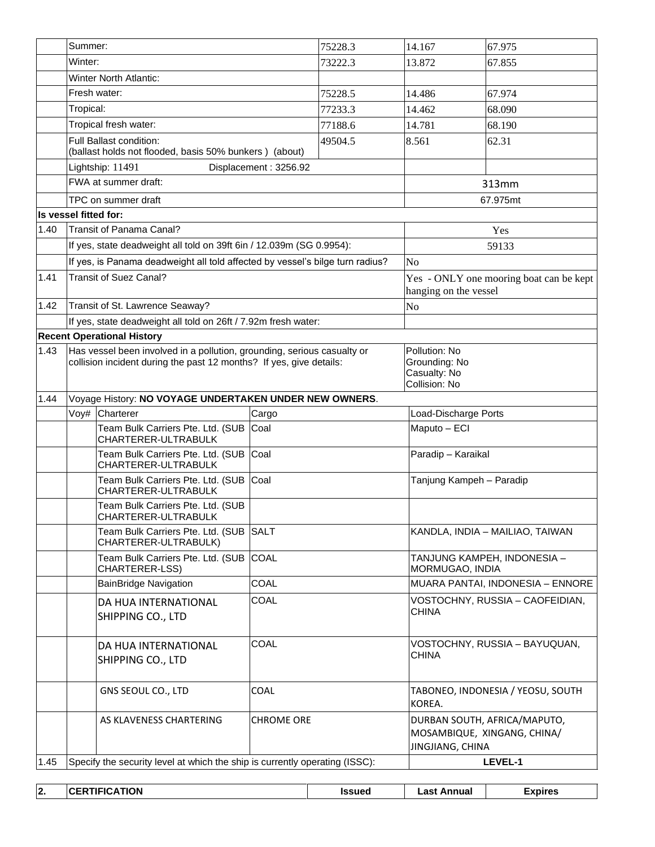|                       | Summer:                                                                                                                                        |                                                                                   |                       | 75228.3      | 14.167                           | 67.975                                                          |  |
|-----------------------|------------------------------------------------------------------------------------------------------------------------------------------------|-----------------------------------------------------------------------------------|-----------------------|--------------|----------------------------------|-----------------------------------------------------------------|--|
|                       | Winter:                                                                                                                                        |                                                                                   |                       | 73222.3      | 13.872                           | 67.855                                                          |  |
|                       |                                                                                                                                                | Winter North Atlantic:                                                            |                       |              |                                  |                                                                 |  |
|                       |                                                                                                                                                | Fresh water:                                                                      |                       | 75228.5      | 14.486                           | 67.974                                                          |  |
|                       | Tropical:                                                                                                                                      |                                                                                   |                       | 77233.3      | 14.462                           | 68.090                                                          |  |
|                       | Tropical fresh water:                                                                                                                          |                                                                                   |                       | 77188.6      | 14.781                           | 68.190                                                          |  |
|                       |                                                                                                                                                | Full Ballast condition:<br>(ballast holds not flooded, basis 50% bunkers) (about) |                       | 49504.5      | 8.561                            | 62.31                                                           |  |
|                       |                                                                                                                                                | Lightship: 11491                                                                  | Displacement: 3256.92 |              |                                  |                                                                 |  |
|                       |                                                                                                                                                | FWA at summer draft:                                                              |                       |              | 313mm                            |                                                                 |  |
|                       |                                                                                                                                                | TPC on summer draft                                                               |                       |              |                                  | 67.975mt                                                        |  |
| Is vessel fitted for: |                                                                                                                                                |                                                                                   |                       |              |                                  |                                                                 |  |
| 1.40                  |                                                                                                                                                | Transit of Panama Canal?                                                          |                       |              |                                  | Yes                                                             |  |
|                       |                                                                                                                                                | If yes, state deadweight all told on 39ft 6in / 12.039m (SG 0.9954):              |                       |              |                                  | 59133                                                           |  |
|                       |                                                                                                                                                | If yes, is Panama deadweight all told affected by vessel's bilge turn radius?     |                       |              | N <sub>o</sub>                   |                                                                 |  |
| 1.41                  |                                                                                                                                                | <b>Transit of Suez Canal?</b>                                                     |                       |              |                                  | Yes - ONLY one mooring boat can be kept                         |  |
|                       |                                                                                                                                                |                                                                                   |                       |              | hanging on the vessel            |                                                                 |  |
| 1.42                  |                                                                                                                                                | Transit of St. Lawrence Seaway?                                                   |                       |              | No                               |                                                                 |  |
|                       |                                                                                                                                                | If yes, state deadweight all told on 26ft / 7.92m fresh water:                    |                       |              |                                  |                                                                 |  |
|                       |                                                                                                                                                | <b>Recent Operational History</b>                                                 |                       |              |                                  |                                                                 |  |
| 1.43                  | Has vessel been involved in a pollution, grounding, serious casualty or<br>collision incident during the past 12 months? If yes, give details: |                                                                                   |                       |              |                                  | Pollution: No<br>Grounding: No<br>Casualty: No<br>Collision: No |  |
| 1.44                  | Voyage History: NO VOYAGE UNDERTAKEN UNDER NEW OWNERS.                                                                                         |                                                                                   |                       |              |                                  |                                                                 |  |
|                       |                                                                                                                                                | Voy# Charterer                                                                    | Cargo                 |              | Load-Discharge Ports             |                                                                 |  |
|                       |                                                                                                                                                | Team Bulk Carriers Pte. Ltd. (SUB<br>CHARTERER-ULTRABULK                          | Coal                  |              | Maputo - ECI                     |                                                                 |  |
|                       |                                                                                                                                                | Team Bulk Carriers Pte. Ltd. (SUB<br>CHARTERER-ULTRABULK                          | Coal                  |              | Paradip - Karaikal               |                                                                 |  |
|                       |                                                                                                                                                | Team Bulk Carriers Pte. Ltd. (SUB<br>CHARTERER-ULTRABULK                          | Coal                  |              |                                  | Tanjung Kampeh - Paradip                                        |  |
|                       |                                                                                                                                                | Team Bulk Carriers Pte. Ltd. (SUB<br>CHARTERER-ULTRABULK                          |                       |              |                                  |                                                                 |  |
|                       |                                                                                                                                                | Team Bulk Carriers Pte. Ltd. (SUB SALT<br>CHARTERER-ULTRABULK)                    |                       |              |                                  | KANDLA, INDIA - MAILIAO, TAIWAN                                 |  |
|                       |                                                                                                                                                | Team Bulk Carriers Pte. Ltd. (SUB COAL<br>CHARTERER-LSS)                          |                       |              | MORMUGAO, INDIA                  | TANJUNG KAMPEH, INDONESIA -                                     |  |
|                       |                                                                                                                                                | <b>BainBridge Navigation</b>                                                      | COAL                  |              | MUARA PANTAI, INDONESIA - ENNORE |                                                                 |  |
|                       |                                                                                                                                                | DA HUA INTERNATIONAL<br>SHIPPING CO., LTD                                         | COAL                  |              | <b>CHINA</b>                     | VOSTOCHNY, RUSSIA – CAOFEIDIAN,                                 |  |
|                       | COAL<br>DA HUA INTERNATIONAL<br>SHIPPING CO., LTD                                                                                              |                                                                                   |                       | <b>CHINA</b> | VOSTOCHNY, RUSSIA – BAYUQUAN,    |                                                                 |  |
|                       |                                                                                                                                                | GNS SEOUL CO., LTD                                                                | COAL                  |              | KOREA.                           | TABONEO, INDONESIA / YEOSU, SOUTH                               |  |
|                       |                                                                                                                                                | AS KLAVENESS CHARTERING                                                           | <b>CHROME ORE</b>     |              | JINGJIANG, CHINA                 | DURBAN SOUTH, AFRICA/MAPUTO,<br>MOSAMBIQUE, XINGANG, CHINA/     |  |
| 1.45                  |                                                                                                                                                | Specify the security level at which the ship is currently operating (ISSC):       |                       |              |                                  | LEVEL-1                                                         |  |

| ın<br>IZ. | ΊΟΝ<br>ЛF<br>ю<br>∼ | <b>Issued</b> | -201<br>Annual<br>аэ | xpires |
|-----------|---------------------|---------------|----------------------|--------|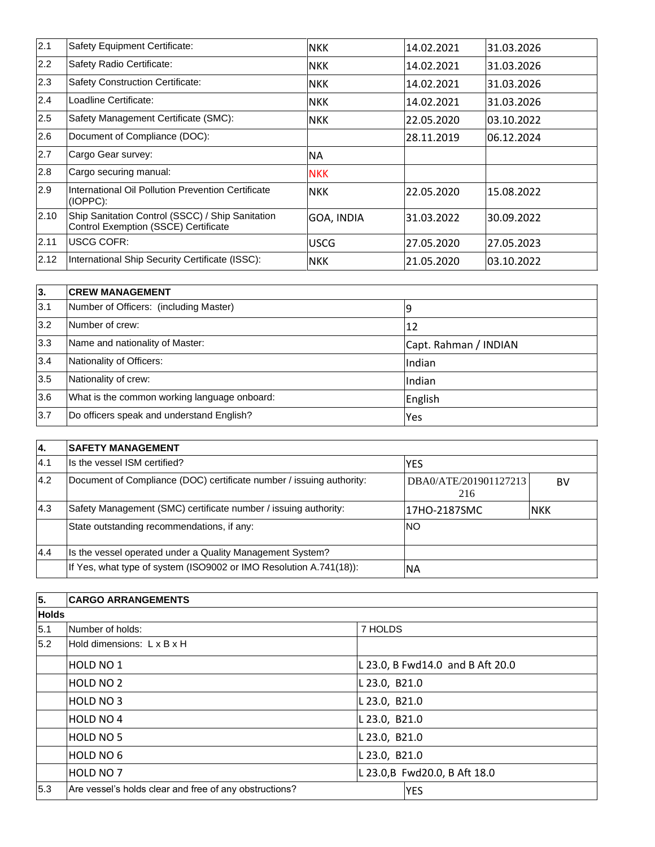| 2.1  | Safety Equipment Certificate:                                                            | <b>NKK</b>  | 14.02.2021 | 31.03.2026  |
|------|------------------------------------------------------------------------------------------|-------------|------------|-------------|
| 2.2  | Safety Radio Certificate:                                                                | <b>NKK</b>  | 14.02.2021 | 31.03.2026  |
| 2.3  | <b>Safety Construction Certificate:</b>                                                  | <b>NKK</b>  | 14.02.2021 | 131.03.2026 |
| 2.4  | Loadline Certificate:                                                                    | <b>NKK</b>  | 14.02.2021 | 31.03.2026  |
| 2.5  | Safety Management Certificate (SMC):                                                     | <b>NKK</b>  | 22.05.2020 | 03.10.2022  |
| 2.6  | Document of Compliance (DOC):                                                            |             | 28.11.2019 | 106.12.2024 |
| 2.7  | Cargo Gear survey:                                                                       | <b>NA</b>   |            |             |
| 2.8  | Cargo securing manual:                                                                   | <b>NKK</b>  |            |             |
| 2.9  | International Oil Pollution Prevention Certificate<br>$(IOPPC)$ :                        | <b>NKK</b>  | 22.05.2020 | 15.08.2022  |
| 2.10 | Ship Sanitation Control (SSCC) / Ship Sanitation<br>Control Exemption (SSCE) Certificate | GOA, INDIA  | 31.03.2022 | 130.09.2022 |
| 2.11 | USCG COFR:                                                                               | <b>USCG</b> | 27.05.2020 | 27.05.2023  |
| 2.12 | International Ship Security Certificate (ISSC):                                          | <b>NKK</b>  | 21.05.2020 | 03.10.2022  |

| l3. | <b>ICREW MANAGEMENT</b>                      |                       |  |  |  |
|-----|----------------------------------------------|-----------------------|--|--|--|
| 3.1 | Number of Officers: (including Master)       | ۱q                    |  |  |  |
| 3.2 | Number of crew:                              | 12                    |  |  |  |
| 3.3 | Name and nationality of Master:              | Capt. Rahman / INDIAN |  |  |  |
| 3.4 | Nationality of Officers:                     | Indian                |  |  |  |
| 3.5 | Nationality of crew:                         | Indian                |  |  |  |
| 3.6 | What is the common working language onboard: | English               |  |  |  |
| 3.7 | Do officers speak and understand English?    | <b>Yes</b>            |  |  |  |

| 14.  | <b>ISAFETY MANAGEMENT</b>                                            |                              |            |  |  |
|------|----------------------------------------------------------------------|------------------------------|------------|--|--|
| 14.1 | Ils the vessel ISM certified?                                        | <b>IYES</b>                  |            |  |  |
| 4.2  | Document of Compliance (DOC) certificate number / issuing authority: | DBA0/ATE/201901127213<br>216 | BV         |  |  |
| 4.3  | Safety Management (SMC) certificate number / issuing authority:      | l17HO-2187SMC                | <b>NKK</b> |  |  |
|      | State outstanding recommendations, if any:                           | <b>NO</b>                    |            |  |  |
| 4.4  | Is the vessel operated under a Quality Management System?            |                              |            |  |  |
|      | If Yes, what type of system (ISO9002 or IMO Resolution A.741(18)):   | <b>NA</b>                    |            |  |  |

| 5.           | <b>CARGO ARRANGEMENTS</b>                              |                               |                                  |  |  |  |
|--------------|--------------------------------------------------------|-------------------------------|----------------------------------|--|--|--|
| <b>Holds</b> |                                                        |                               |                                  |  |  |  |
| 5.1          | Number of holds:                                       | 7 HOLDS                       |                                  |  |  |  |
| 5.2          | Hold dimensions: L x B x H                             |                               |                                  |  |  |  |
|              | <b>HOLD NO 1</b>                                       |                               | L 23.0, B Fwd14.0 and B Aft 20.0 |  |  |  |
|              | <b>HOLD NO 2</b>                                       | L 23.0, B21.0                 |                                  |  |  |  |
|              | <b>HOLD NO 3</b>                                       | L 23.0, B21.0                 |                                  |  |  |  |
|              | <b>HOLD NO 4</b>                                       | L 23.0, B21.0                 |                                  |  |  |  |
|              | <b>HOLD NO 5</b>                                       | L 23.0, B21.0                 |                                  |  |  |  |
|              | <b>HOLD NO 6</b>                                       | L 23.0, B21.0                 |                                  |  |  |  |
|              | <b>HOLD NO 7</b>                                       | L 23.0, B Fwd20.0, B Aft 18.0 |                                  |  |  |  |
| 5.3          | Are vessel's holds clear and free of any obstructions? |                               | <b>YES</b>                       |  |  |  |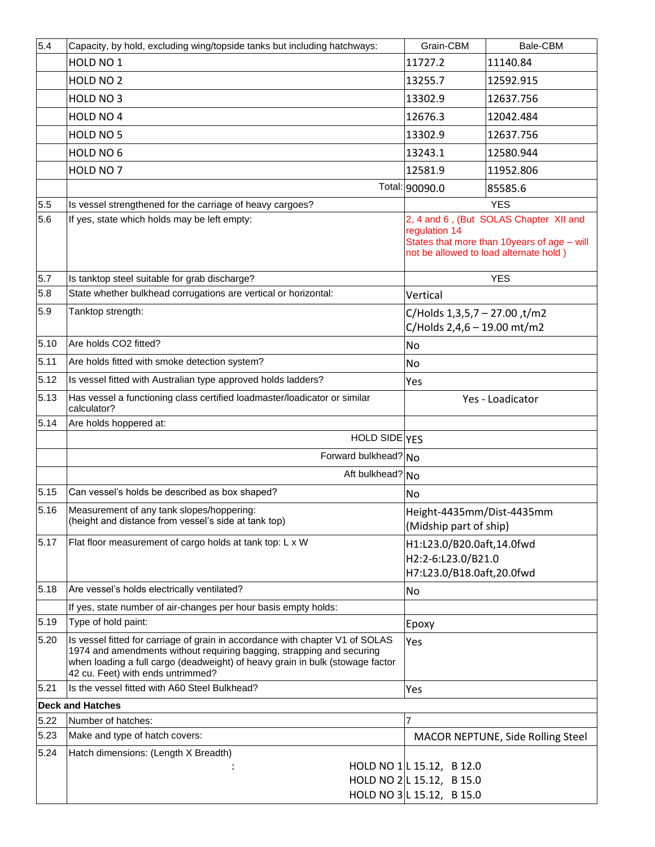| 5.4  | Capacity, by hold, excluding wing/topside tanks but including hatchways:                                                                                                                                                                                                     | Grain-CBM                                                       | Bale-CBM                                                                                                                        |
|------|------------------------------------------------------------------------------------------------------------------------------------------------------------------------------------------------------------------------------------------------------------------------------|-----------------------------------------------------------------|---------------------------------------------------------------------------------------------------------------------------------|
|      | HOLD NO 1                                                                                                                                                                                                                                                                    | 11727.2                                                         | 11140.84                                                                                                                        |
|      | HOLD NO <sub>2</sub>                                                                                                                                                                                                                                                         | 13255.7                                                         | 12592.915                                                                                                                       |
|      | HOLD NO 3                                                                                                                                                                                                                                                                    | 13302.9                                                         | 12637.756                                                                                                                       |
|      | HOLD NO 4                                                                                                                                                                                                                                                                    | 12676.3                                                         | 12042.484                                                                                                                       |
|      | HOLD NO 5                                                                                                                                                                                                                                                                    | 13302.9                                                         | 12637.756                                                                                                                       |
|      | HOLD NO 6                                                                                                                                                                                                                                                                    | 13243.1                                                         | 12580.944                                                                                                                       |
|      | HOLD NO 7                                                                                                                                                                                                                                                                    | 12581.9                                                         | 11952.806                                                                                                                       |
|      |                                                                                                                                                                                                                                                                              | Total: 90090.0                                                  | 85585.6                                                                                                                         |
| 5.5  | Is vessel strengthened for the carriage of heavy cargoes?                                                                                                                                                                                                                    |                                                                 | <b>YES</b>                                                                                                                      |
| 5.6  | If yes, state which holds may be left empty:                                                                                                                                                                                                                                 | regulation 14                                                   | 2, 4 and 6, (But SOLAS Chapter XII and<br>States that more than 10years of age - will<br>not be allowed to load alternate hold) |
| 5.7  | Is tanktop steel suitable for grab discharge?                                                                                                                                                                                                                                |                                                                 | <b>YES</b>                                                                                                                      |
| 5.8  | State whether bulkhead corrugations are vertical or horizontal:                                                                                                                                                                                                              | Vertical                                                        |                                                                                                                                 |
| 5.9  | Tanktop strength:                                                                                                                                                                                                                                                            | C/Holds $1,3,5,7 - 27.00$ , t/m2<br>C/Holds 2,4,6 - 19.00 mt/m2 |                                                                                                                                 |
| 5.10 | Are holds CO2 fitted?                                                                                                                                                                                                                                                        | No                                                              |                                                                                                                                 |
| 5.11 | Are holds fitted with smoke detection system?                                                                                                                                                                                                                                | No                                                              |                                                                                                                                 |
| 5.12 | Is vessel fitted with Australian type approved holds ladders?                                                                                                                                                                                                                | Yes                                                             |                                                                                                                                 |
| 5.13 | Has vessel a functioning class certified loadmaster/loadicator or similar<br>calculator?                                                                                                                                                                                     | Yes - Loadicator                                                |                                                                                                                                 |
| 5.14 | Are holds hoppered at:                                                                                                                                                                                                                                                       |                                                                 |                                                                                                                                 |
|      | HOLD SIDE YES                                                                                                                                                                                                                                                                |                                                                 |                                                                                                                                 |
|      | Forward bulkhead? No                                                                                                                                                                                                                                                         |                                                                 |                                                                                                                                 |
|      | Aft bulkhead? No                                                                                                                                                                                                                                                             |                                                                 |                                                                                                                                 |
| 5.15 | Can vessel's holds be described as box shaped?                                                                                                                                                                                                                               | No                                                              |                                                                                                                                 |
| 5.16 | Measurement of any tank slopes/hoppering:<br>(height and distance from vessel's side at tank top)                                                                                                                                                                            | Height-4435mm/Dist-4435mm<br>(Midship part of ship)             |                                                                                                                                 |
| 5.17 | Flat floor measurement of cargo holds at tank top: L x W                                                                                                                                                                                                                     | H1:L23.0/B20.0aft,14.0fwd<br>H2:2-6:L23.0/B21.0                 |                                                                                                                                 |
|      |                                                                                                                                                                                                                                                                              | H7:L23.0/B18.0aft,20.0fwd                                       |                                                                                                                                 |
| 5.18 | Are vessel's holds electrically ventilated?                                                                                                                                                                                                                                  | No                                                              |                                                                                                                                 |
| 5.19 | If yes, state number of air-changes per hour basis empty holds:<br>Type of hold paint:                                                                                                                                                                                       |                                                                 |                                                                                                                                 |
| 5.20 | Is vessel fitted for carriage of grain in accordance with chapter V1 of SOLAS<br>1974 and amendments without requiring bagging, strapping and securing<br>when loading a full cargo (deadweight) of heavy grain in bulk (stowage factor<br>42 cu. Feet) with ends untrimmed? | Epoxy<br>Yes                                                    |                                                                                                                                 |
| 5.21 | Is the vessel fitted with A60 Steel Bulkhead?                                                                                                                                                                                                                                | Yes                                                             |                                                                                                                                 |
|      | <b>Deck and Hatches</b>                                                                                                                                                                                                                                                      |                                                                 |                                                                                                                                 |
| 5.22 | Number of hatches:                                                                                                                                                                                                                                                           | 7                                                               |                                                                                                                                 |
| 5.23 | Make and type of hatch covers:                                                                                                                                                                                                                                               |                                                                 | MACOR NEPTUNE, Side Rolling Steel                                                                                               |
| 5.24 | Hatch dimensions: (Length X Breadth)                                                                                                                                                                                                                                         | HOLD NO 1 L 15.12, B 12.0                                       |                                                                                                                                 |
|      |                                                                                                                                                                                                                                                                              | HOLD NO 2 L 15.12, B 15.0                                       |                                                                                                                                 |
|      |                                                                                                                                                                                                                                                                              | HOLD NO 3 L 15.12, B 15.0                                       |                                                                                                                                 |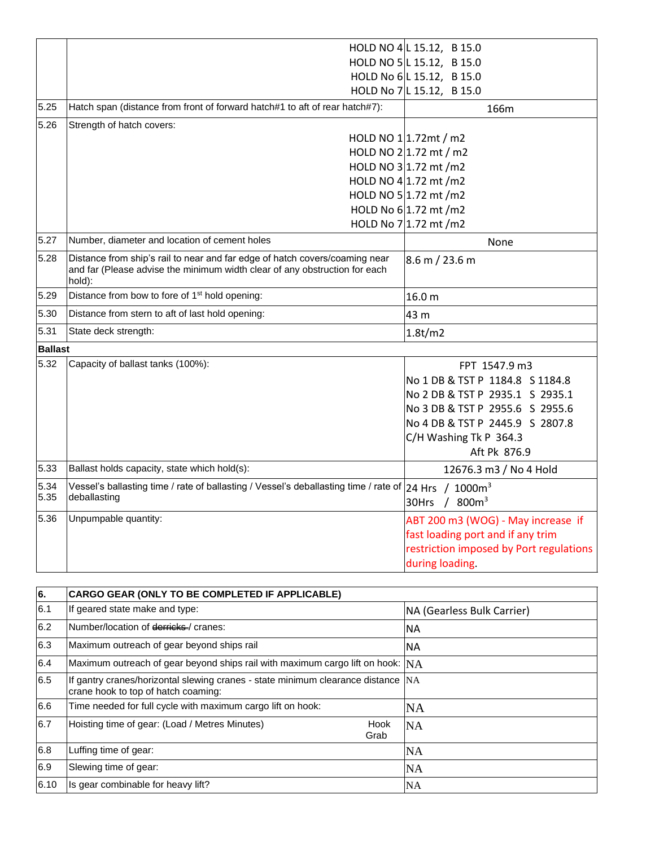|                |                                                                                                                                                                     | HOLD NO 4 L 15.12, B 15.0               |
|----------------|---------------------------------------------------------------------------------------------------------------------------------------------------------------------|-----------------------------------------|
|                |                                                                                                                                                                     | HOLD NO 5 L 15.12, B 15.0               |
|                |                                                                                                                                                                     | HOLD No 6 L 15.12, B 15.0               |
|                |                                                                                                                                                                     | HOLD No 7 L 15.12, B 15.0               |
| 5.25           | Hatch span (distance from front of forward hatch#1 to aft of rear hatch#7):                                                                                         | 166m                                    |
| 5.26           | Strength of hatch covers:                                                                                                                                           |                                         |
|                |                                                                                                                                                                     | HOLD NO $1 1.72$ mt / m2                |
|                |                                                                                                                                                                     | HOLD NO $2 1.72$ mt / m2                |
|                |                                                                                                                                                                     | HOLD NO $3 1.72$ mt /m2                 |
|                |                                                                                                                                                                     | HOLD NO 4 $1.72$ mt /m2                 |
|                |                                                                                                                                                                     | HOLD NO 5 $1.72$ mt /m2                 |
|                |                                                                                                                                                                     | HOLD No $6$ 1.72 mt /m2                 |
|                |                                                                                                                                                                     | HOLD No 7 1.72 mt /m2                   |
| 5.27           | Number, diameter and location of cement holes                                                                                                                       | None                                    |
| 5.28           | Distance from ship's rail to near and far edge of hatch covers/coaming near<br>and far (Please advise the minimum width clear of any obstruction for each<br>hold): | 8.6 m / 23.6 m                          |
| 5.29           | Distance from bow to fore of 1 <sup>st</sup> hold opening:                                                                                                          | 16.0 <sub>m</sub>                       |
| 5.30           | Distance from stern to aft of last hold opening:                                                                                                                    | 43 m                                    |
| 5.31           | State deck strength:                                                                                                                                                | 1.8t/m2                                 |
| <b>Ballast</b> |                                                                                                                                                                     |                                         |
| 5.32           | Capacity of ballast tanks (100%):                                                                                                                                   | FPT 1547.9 m3                           |
|                |                                                                                                                                                                     | No 1 DB & TST P 1184.8 S 1184.8         |
|                |                                                                                                                                                                     | No 2 DB & TST P 2935.1 S 2935.1         |
|                |                                                                                                                                                                     | No 3 DB & TST P 2955.6 S 2955.6         |
|                |                                                                                                                                                                     | No 4 DB & TST P 2445.9 S 2807.8         |
|                |                                                                                                                                                                     | C/H Washing Tk P 364.3                  |
|                |                                                                                                                                                                     | Aft Pk 876.9                            |
| 5.33           | Ballast holds capacity, state which hold(s):                                                                                                                        | 12676.3 m3 / No 4 Hold                  |
| 5.34           | Vessel's ballasting time / rate of ballasting / Vessel's deballasting time / rate of                                                                                | 24 Hrs / 1000m <sup>3</sup>             |
| 5.35           | deballasting                                                                                                                                                        | 30Hrs / 800m <sup>3</sup>               |
| 5.36           | Unpumpable quantity:                                                                                                                                                | ABT 200 m3 (WOG) - May increase if      |
|                |                                                                                                                                                                     | fast loading port and if any trim       |
|                |                                                                                                                                                                     | restriction imposed by Port regulations |
|                |                                                                                                                                                                     | during loading.                         |

| 6.   | CARGO GEAR (ONLY TO BE COMPLETED IF APPLICABLE)                                                                         |                            |  |  |  |
|------|-------------------------------------------------------------------------------------------------------------------------|----------------------------|--|--|--|
| 6.1  | If geared state make and type:                                                                                          | NA (Gearless Bulk Carrier) |  |  |  |
| 6.2  | Number/location of derricks / cranes:                                                                                   | <b>NA</b>                  |  |  |  |
| 6.3  | Maximum outreach of gear beyond ships rail                                                                              | <b>NA</b>                  |  |  |  |
| 6.4  | Maximum outreach of gear beyond ships rail with maximum cargo lift on hook: $N_A$                                       |                            |  |  |  |
| 6.5  | If gantry cranes/horizontal slewing cranes - state minimum clearance distance NA<br>crane hook to top of hatch coaming: |                            |  |  |  |
| 6.6  | Time needed for full cycle with maximum cargo lift on hook:                                                             | <b>NA</b>                  |  |  |  |
| 6.7  | Hoisting time of gear: (Load / Metres Minutes)<br>Hook<br>Grab                                                          | <b>NA</b>                  |  |  |  |
| 6.8  | Luffing time of gear:                                                                                                   | <b>NA</b>                  |  |  |  |
| 6.9  | Slewing time of gear:                                                                                                   | <b>NA</b>                  |  |  |  |
| 6.10 | Is gear combinable for heavy lift?                                                                                      | <b>NA</b>                  |  |  |  |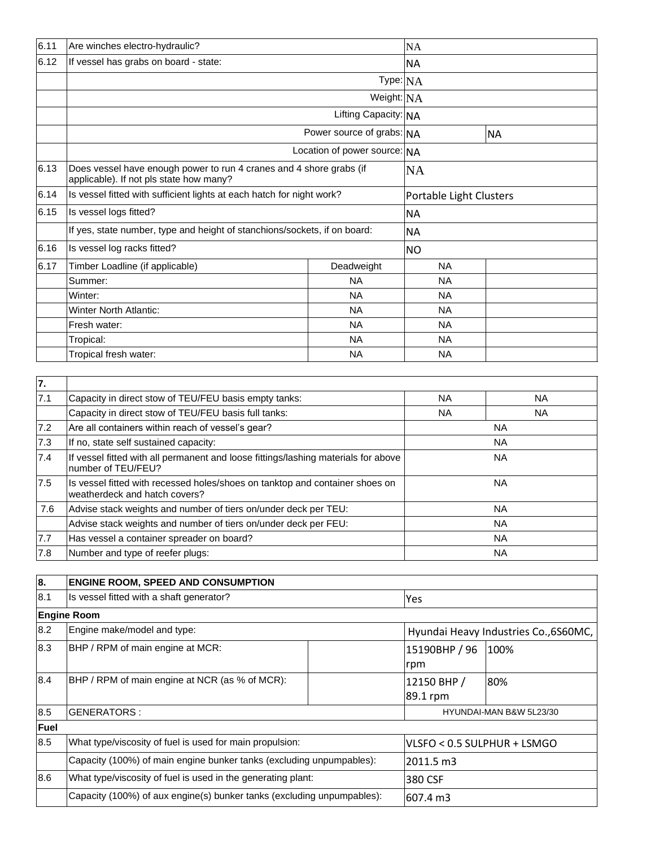| 6.11 | Are winches electro-hydraulic?                                                                                 |                              | NA                      |           |  |
|------|----------------------------------------------------------------------------------------------------------------|------------------------------|-------------------------|-----------|--|
| 6.12 | If vessel has grabs on board - state:                                                                          |                              | NA.                     |           |  |
|      |                                                                                                                | Type:NA                      |                         |           |  |
|      |                                                                                                                | Weight: NA                   |                         |           |  |
|      |                                                                                                                | Lifting Capacity: NA         |                         |           |  |
|      |                                                                                                                | Power source of grabs: NA    |                         | <b>NA</b> |  |
|      |                                                                                                                | Location of power source: NA |                         |           |  |
| 6.13 | Does vessel have enough power to run 4 cranes and 4 shore grabs (if<br>applicable). If not pls state how many? |                              | <b>NA</b>               |           |  |
| 6.14 | Is vessel fitted with sufficient lights at each hatch for night work?                                          |                              | Portable Light Clusters |           |  |
| 6.15 | Is vessel logs fitted?                                                                                         |                              | <b>NA</b>               |           |  |
|      | If yes, state number, type and height of stanchions/sockets, if on board:                                      |                              | <b>NA</b>               |           |  |
| 6.16 | Is vessel log racks fitted?                                                                                    |                              | <b>NO</b>               |           |  |
| 6.17 | Timber Loadline (if applicable)                                                                                | Deadweight                   | <b>NA</b>               |           |  |
|      | Summer:                                                                                                        | <b>NA</b>                    | <b>NA</b>               |           |  |
|      | Winter:                                                                                                        | <b>NA</b>                    | <b>NA</b>               |           |  |
|      | <b>Winter North Atlantic:</b>                                                                                  | <b>NA</b>                    | <b>NA</b>               |           |  |
|      | Fresh water:                                                                                                   | <b>NA</b>                    | <b>NA</b>               |           |  |
|      | Tropical:                                                                                                      | <b>NA</b>                    | <b>NA</b>               |           |  |
|      | Tropical fresh water:                                                                                          | NA                           | <b>NA</b>               |           |  |

| 7.  |                                                                                                               |           |           |  |
|-----|---------------------------------------------------------------------------------------------------------------|-----------|-----------|--|
| 7.1 | Capacity in direct stow of TEU/FEU basis empty tanks:                                                         | NA.       | NA.       |  |
|     | Capacity in direct stow of TEU/FEU basis full tanks:                                                          | NA.       | NA.       |  |
| 7.2 | Are all containers within reach of vessel's gear?                                                             | <b>NA</b> |           |  |
| 7.3 | If no, state self sustained capacity:                                                                         | <b>NA</b> |           |  |
| 7.4 | If vessel fitted with all permanent and loose fittings/lashing materials for above<br>number of TEU/FEU?      | <b>NA</b> |           |  |
| 7.5 | Is vessel fitted with recessed holes/shoes on tanktop and container shoes on<br>weatherdeck and hatch covers? |           | <b>NA</b> |  |
| 7.6 | Advise stack weights and number of tiers on/under deck per TEU:                                               |           | <b>NA</b> |  |
|     | Advise stack weights and number of tiers on/under deck per FEU:                                               |           | <b>NA</b> |  |
| 7.7 | Has vessel a container spreader on board?                                                                     |           | <b>NA</b> |  |
| 7.8 | Number and type of reefer plugs:                                                                              |           | <b>NA</b> |  |

| 8.   | <b>ENGINE ROOM, SPEED AND CONSUMPTION</b>                                                                                                     |  |                                       |      |  |
|------|-----------------------------------------------------------------------------------------------------------------------------------------------|--|---------------------------------------|------|--|
| 8.1  | Is vessel fitted with a shaft generator?                                                                                                      |  | Yes                                   |      |  |
|      | <b>Engine Room</b>                                                                                                                            |  |                                       |      |  |
| 8.2  | Engine make/model and type:                                                                                                                   |  | Hyundai Heavy Industries Co., 6S60MC, |      |  |
| 8.3  | BHP / RPM of main engine at MCR:                                                                                                              |  | 15190BHP / 96<br>rpm                  | 100% |  |
| 8.4  | BHP / RPM of main engine at NCR (as % of MCR):                                                                                                |  | 12150 BHP /<br>89.1 rpm               | 80%  |  |
| 8.5  | <b>GENERATORS:</b>                                                                                                                            |  | HYUNDAI-MAN B&W 5L23/30               |      |  |
| Fuel |                                                                                                                                               |  |                                       |      |  |
| 8.5  | What type/viscosity of fuel is used for main propulsion:<br>Capacity (100%) of main engine bunker tanks (excluding unpumpables):<br>2011.5 m3 |  | VLSFO < 0.5 SULPHUR + LSMGO           |      |  |
|      |                                                                                                                                               |  |                                       |      |  |
| 8.6  | What type/viscosity of fuel is used in the generating plant:                                                                                  |  | 380 CSF                               |      |  |
|      | Capacity (100%) of aux engine(s) bunker tanks (excluding unpumpables):                                                                        |  | 607.4 m3                              |      |  |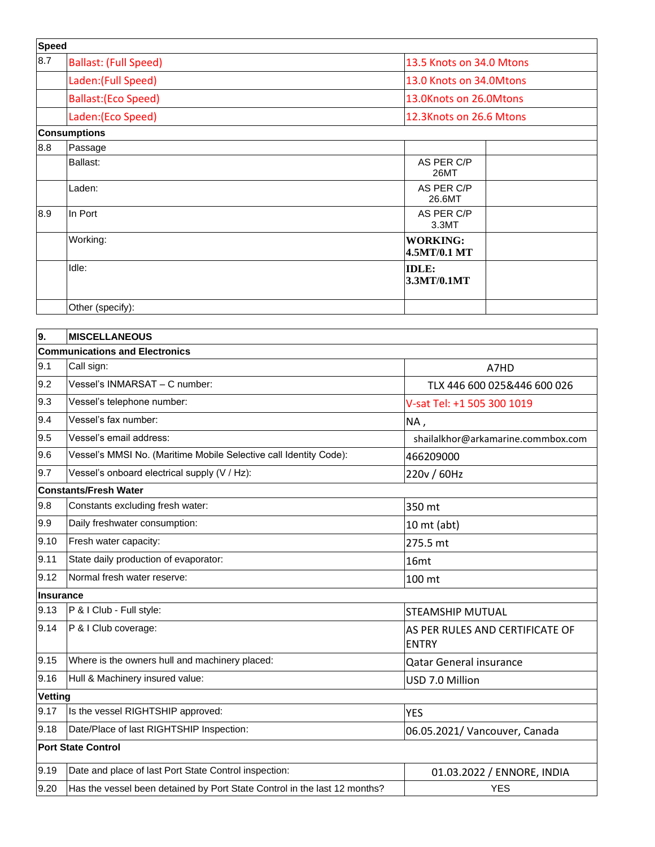| <b>Speed</b> |                              |                                 |
|--------------|------------------------------|---------------------------------|
| 8.7          | <b>Ballast: (Full Speed)</b> | 13.5 Knots on 34.0 Mtons        |
|              | Laden: (Full Speed)          | 13.0 Knots on 34.0Mtons         |
|              | <b>Ballast: (Eco Speed)</b>  | 13.0Knots on 26.0Mtons          |
|              | Laden:(Eco Speed)            | 12.3Knots on 26.6 Mtons         |
|              | <b>Consumptions</b>          |                                 |
| 8.8          | Passage                      |                                 |
|              | Ballast:                     | AS PER C/P<br><b>26MT</b>       |
|              | Laden:                       | AS PER C/P<br>26.6MT            |
| 8.9          | In Port                      | AS PER C/P<br>3.3MT             |
|              | Working:                     | <b>WORKING:</b><br>4.5MT/0.1 MT |
|              | Idle:                        | <b>IDLE:</b><br>3.3MT/0.1MT     |
|              | Other (specify):             |                                 |

| 9.             | <b>MISCELLANEOUS</b>                                                      |                                                 |  |  |
|----------------|---------------------------------------------------------------------------|-------------------------------------------------|--|--|
|                | <b>Communications and Electronics</b>                                     |                                                 |  |  |
| 9.1            | Call sign:                                                                | A7HD                                            |  |  |
| 9.2            | Vessel's INMARSAT - C number:                                             | TLX 446 600 025&446 600 026                     |  |  |
| 9.3            | Vessel's telephone number:                                                | V-sat Tel: +1 505 300 1019                      |  |  |
| 9.4            | Vessel's fax number:                                                      | NA,                                             |  |  |
| 9.5            | Vessel's email address:                                                   | shailalkhor@arkamarine.commbox.com              |  |  |
| 9.6            | Vessel's MMSI No. (Maritime Mobile Selective call Identity Code):         | 466209000                                       |  |  |
| 9.7            | Vessel's onboard electrical supply (V / Hz):                              | 220v / 60Hz                                     |  |  |
|                | <b>Constants/Fresh Water</b>                                              |                                                 |  |  |
| 9.8            | Constants excluding fresh water:                                          | 350 mt                                          |  |  |
| 9.9            | Daily freshwater consumption:                                             | $10$ mt (abt)                                   |  |  |
| 9.10           | Fresh water capacity:                                                     | 275.5 mt                                        |  |  |
| 9.11           | State daily production of evaporator:                                     | 16mt                                            |  |  |
| 9.12           | Normal fresh water reserve:                                               | 100 mt                                          |  |  |
|                | Insurance                                                                 |                                                 |  |  |
| 9.13           | P & I Club - Full style:                                                  | STEAMSHIP MUTUAL                                |  |  |
| 9.14           | P & I Club coverage:                                                      | AS PER RULES AND CERTIFICATE OF<br><b>ENTRY</b> |  |  |
| 9.15           | Where is the owners hull and machinery placed:                            | <b>Qatar General insurance</b>                  |  |  |
| 9.16           | Hull & Machinery insured value:                                           | USD 7.0 Million                                 |  |  |
| <b>Vetting</b> |                                                                           |                                                 |  |  |
| 9.17           | Is the vessel RIGHTSHIP approved:                                         | <b>YES</b>                                      |  |  |
| 9.18           | Date/Place of last RIGHTSHIP Inspection:                                  | 06.05.2021/ Vancouver, Canada                   |  |  |
|                | <b>Port State Control</b>                                                 |                                                 |  |  |
| 9.19           | Date and place of last Port State Control inspection:                     | 01.03.2022 / ENNORE, INDIA                      |  |  |
| 9.20           | Has the vessel been detained by Port State Control in the last 12 months? | <b>YES</b>                                      |  |  |